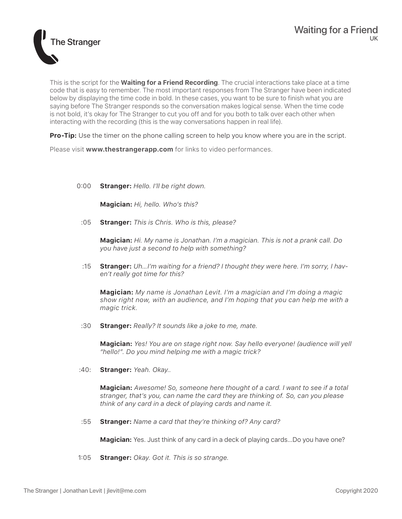

This is the script for the **Waiting for a Friend Recording**. The crucial interactions take place at a time code that is easy to remember. The most important responses from The Stranger have been indicated below by displaying the time code in bold. In these cases, you want to be sure to finish what you are saying before The Stranger responds so the conversation makes logical sense. When the time code is not bold, it's okay for The Stranger to cut you off and for you both to talk over each other when interacting with the recording (this is the way conversations happen in real life).

**Pro-Tip:** Use the timer on the phone calling screen to help you know where you are in the script.

Please visit **www.thestrangerapp.com** for links to video performances.

0:00 **Stranger:** *Hello. I'll be right down.*

**Magician:** *Hi, hello. Who's this?*

:05 **Stranger:** *This is Chris. Who is this, please?*

**Magician:** *Hi. My name is Jonathan. I'm a magician. This is not a prank call. Do you have just a second to help with something?*

:15 **Stranger:** *Uh…I'm waiting for a friend? I thought they were here. I'm sorry, I haven't really got time for this?*

**Magician:** *My name is Jonathan Levit. I'm a magician and I'm doing a magic show right now, with an audience, and I'm hoping that you can help me with a magic trick.*

:30 **Stranger:** *Really? It sounds like a joke to me, mate.*

**Magician:** *Yes! You are on stage right now. Say hello everyone! (audience will yell "hello!". Do you mind helping me with a magic trick?* 

:40: **Stranger:** *Yeah. Okay..*

**Magician:** *Awesome! So, someone here thought of a card. I want to see if a total stranger, that's you, can name the card they are thinking of. So, can you please think of any card in a deck of playing cards and name it.* 

:55 **Stranger:** *Name a card that they're thinking of? Any card?*

**Magician:** Yes. Just think of any card in a deck of playing cards...Do you have one?

1:05 **Stranger:** *Okay. Got it. This is so strange.*